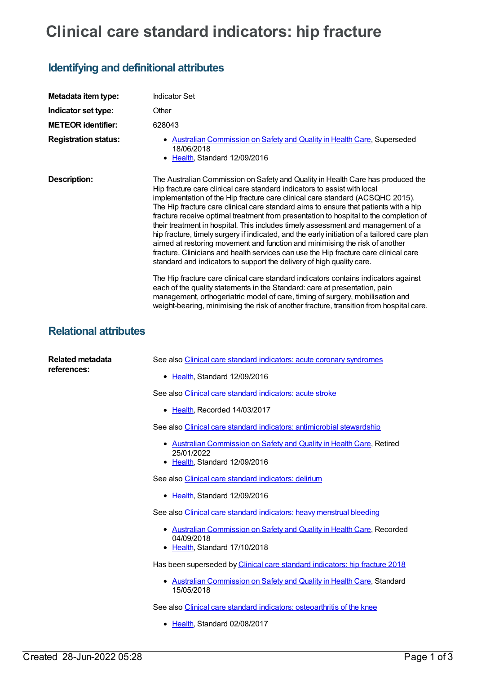## **Clinical care standard indicators: hip fracture**

## **Identifying and definitional attributes**

| Metadata item type:                    | <b>Indicator Set</b>                                                                                                                                                                                                                                                                                                                                                                                                                                                                                                                                                                                                                                                                                                                                                                                                                                                                                                                                                                                                                  |
|----------------------------------------|---------------------------------------------------------------------------------------------------------------------------------------------------------------------------------------------------------------------------------------------------------------------------------------------------------------------------------------------------------------------------------------------------------------------------------------------------------------------------------------------------------------------------------------------------------------------------------------------------------------------------------------------------------------------------------------------------------------------------------------------------------------------------------------------------------------------------------------------------------------------------------------------------------------------------------------------------------------------------------------------------------------------------------------|
| Indicator set type:                    | Other                                                                                                                                                                                                                                                                                                                                                                                                                                                                                                                                                                                                                                                                                                                                                                                                                                                                                                                                                                                                                                 |
| <b>METEOR identifier:</b>              | 628043                                                                                                                                                                                                                                                                                                                                                                                                                                                                                                                                                                                                                                                                                                                                                                                                                                                                                                                                                                                                                                |
| <b>Registration status:</b>            | • Australian Commission on Safety and Quality in Health Care, Superseded<br>18/06/2018<br>• Health, Standard 12/09/2016                                                                                                                                                                                                                                                                                                                                                                                                                                                                                                                                                                                                                                                                                                                                                                                                                                                                                                               |
| Description:                           | The Australian Commission on Safety and Quality in Health Care has produced the<br>Hip fracture care clinical care standard indicators to assist with local<br>implementation of the Hip fracture care clinical care standard (ACSQHC 2015).<br>The Hip fracture care clinical care standard aims to ensure that patients with a hip<br>fracture receive optimal treatment from presentation to hospital to the completion of<br>their treatment in hospital. This includes timely assessment and management of a<br>hip fracture, timely surgery if indicated, and the early initiation of a tailored care plan<br>aimed at restoring movement and function and minimising the risk of another<br>fracture. Clinicians and health services can use the Hip fracture care clinical care<br>standard and indicators to support the delivery of high quality care.<br>The Hip fracture care clinical care standard indicators contains indicators against<br>each of the quality statements in the Standard: care at presentation, pain |
| <b>Relational attributes</b>           | management, orthogeriatric model of care, timing of surgery, mobilisation and<br>weight-bearing, minimising the risk of another fracture, transition from hospital care.                                                                                                                                                                                                                                                                                                                                                                                                                                                                                                                                                                                                                                                                                                                                                                                                                                                              |
| <b>Related metadata</b><br>references: | See also Clinical care standard indicators: acute coronary syndromes                                                                                                                                                                                                                                                                                                                                                                                                                                                                                                                                                                                                                                                                                                                                                                                                                                                                                                                                                                  |
|                                        | • Health, Standard 12/09/2016                                                                                                                                                                                                                                                                                                                                                                                                                                                                                                                                                                                                                                                                                                                                                                                                                                                                                                                                                                                                         |
|                                        | See also Clinical care standard indicators: acute stroke                                                                                                                                                                                                                                                                                                                                                                                                                                                                                                                                                                                                                                                                                                                                                                                                                                                                                                                                                                              |
|                                        | • Health, Recorded 14/03/2017                                                                                                                                                                                                                                                                                                                                                                                                                                                                                                                                                                                                                                                                                                                                                                                                                                                                                                                                                                                                         |
|                                        | See also Clinical care standard indicators: antimicrobial stewardship                                                                                                                                                                                                                                                                                                                                                                                                                                                                                                                                                                                                                                                                                                                                                                                                                                                                                                                                                                 |
|                                        | Australian Commission on Safety and Quality in Health Care, Retired<br>25/01/2022<br>• Health, Standard 12/09/2016                                                                                                                                                                                                                                                                                                                                                                                                                                                                                                                                                                                                                                                                                                                                                                                                                                                                                                                    |
|                                        | See also Clinical care standard indicators: delirium                                                                                                                                                                                                                                                                                                                                                                                                                                                                                                                                                                                                                                                                                                                                                                                                                                                                                                                                                                                  |
|                                        | • Health, Standard 12/09/2016                                                                                                                                                                                                                                                                                                                                                                                                                                                                                                                                                                                                                                                                                                                                                                                                                                                                                                                                                                                                         |
|                                        | See also Clinical care standard indicators: heavy menstrual bleeding                                                                                                                                                                                                                                                                                                                                                                                                                                                                                                                                                                                                                                                                                                                                                                                                                                                                                                                                                                  |
|                                        |                                                                                                                                                                                                                                                                                                                                                                                                                                                                                                                                                                                                                                                                                                                                                                                                                                                                                                                                                                                                                                       |

- Australian [Commission](https://meteor.aihw.gov.au/RegistrationAuthority/18) on Safety and Quality in Health Care, Recorded 04/09/2018
- [Health](https://meteor.aihw.gov.au/RegistrationAuthority/12), Standard 17/10/2018

Has been superseded by Clinical care standard [indicators:](https://meteor.aihw.gov.au/content/696424) hip fracture 2018

• Australian [Commission](https://meteor.aihw.gov.au/RegistrationAuthority/18) on Safety and Quality in Health Care, Standard 15/05/2018

See also Clinical care standard indicators: [osteoarthritis](https://meteor.aihw.gov.au/content/644256) of the knee

• [Health](https://meteor.aihw.gov.au/RegistrationAuthority/12), Standard 02/08/2017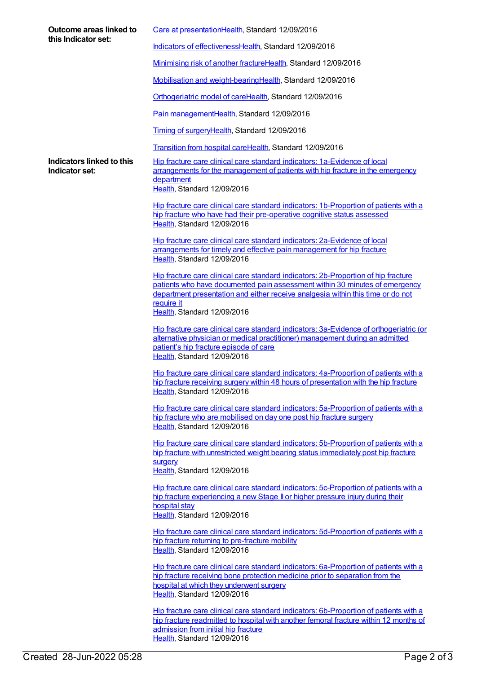| Outcome areas linked to<br>this Indicator set: | Care at presentationHealth, Standard 12/09/2016                                                                                                                                                                                                                                                   |
|------------------------------------------------|---------------------------------------------------------------------------------------------------------------------------------------------------------------------------------------------------------------------------------------------------------------------------------------------------|
|                                                | Indicators of effectivenessHealth, Standard 12/09/2016                                                                                                                                                                                                                                            |
|                                                | Minimising risk of another fractureHealth, Standard 12/09/2016                                                                                                                                                                                                                                    |
|                                                | Mobilisation and weight-bearingHealth, Standard 12/09/2016                                                                                                                                                                                                                                        |
|                                                | Orthogeriatric model of careHealth, Standard 12/09/2016                                                                                                                                                                                                                                           |
|                                                | Pain managementHealth, Standard 12/09/2016                                                                                                                                                                                                                                                        |
|                                                | Timing of surgeryHealth, Standard 12/09/2016                                                                                                                                                                                                                                                      |
|                                                | Transition from hospital careHealth, Standard 12/09/2016                                                                                                                                                                                                                                          |
| Indicators linked to this<br>Indicator set:    | Hip fracture care clinical care standard indicators: 1a-Evidence of local<br>arrangements for the management of patients with hip fracture in the emergency<br>department<br>Health, Standard 12/09/2016                                                                                          |
|                                                | Hip fracture care clinical care standard indicators: 1b-Proportion of patients with a<br>hip fracture who have had their pre-operative cognitive status assessed<br>Health, Standard 12/09/2016                                                                                                   |
|                                                | Hip fracture care clinical care standard indicators: 2a-Evidence of local<br>arrangements for timely and effective pain management for hip fracture<br>Health, Standard 12/09/2016                                                                                                                |
|                                                | Hip fracture care clinical care standard indicators: 2b-Proportion of hip fracture<br>patients who have documented pain assessment within 30 minutes of emergency<br>department presentation and either receive analgesia within this time or do not<br>require it<br>Health, Standard 12/09/2016 |
|                                                | Hip fracture care clinical care standard indicators: 3a-Evidence of orthogeriatric (or<br>alternative physician or medical practitioner) management during an admitted<br>patient's hip fracture episode of care<br>Health, Standard 12/09/2016                                                   |
|                                                | Hip fracture care clinical care standard indicators: 4a-Proportion of patients with a<br>hip fracture receiving surgery within 48 hours of presentation with the hip fracture<br>Health, Standard 12/09/2016                                                                                      |
|                                                | Hip fracture care clinical care standard indicators: 5a-Proportion of patients with a<br>hip fracture who are mobilised on day one post hip fracture surgery<br>Health, Standard 12/09/2016                                                                                                       |
|                                                | Hip fracture care clinical care standard indicators: 5b-Proportion of patients with a<br>hip fracture with unrestricted weight bearing status immediately post hip fracture<br>surgery<br>Health, Standard 12/09/2016                                                                             |
|                                                | Hip fracture care clinical care standard indicators: 5c-Proportion of patients with a<br>hip fracture experiencing a new Stage II or higher pressure injury during their<br>hospital stay<br>Health, Standard 12/09/2016                                                                          |
|                                                | Hip fracture care clinical care standard indicators: 5d-Proportion of patients with a<br>hip fracture returning to pre-fracture mobility<br>Health, Standard 12/09/2016                                                                                                                           |
|                                                | Hip fracture care clinical care standard indicators: 6a-Proportion of patients with a<br>hip fracture receiving bone protection medicine prior to separation from the<br>hospital at which they underwent surgery<br>Health, Standard 12/09/2016                                                  |
|                                                | Hip fracture care clinical care standard indicators: 6b-Proportion of patients with a<br>hip fracture readmitted to hospital with another femoral fracture within 12 months of<br>admission from initial hip fracture                                                                             |

[Health](https://meteor.aihw.gov.au/RegistrationAuthority/12), Standard 12/09/2016